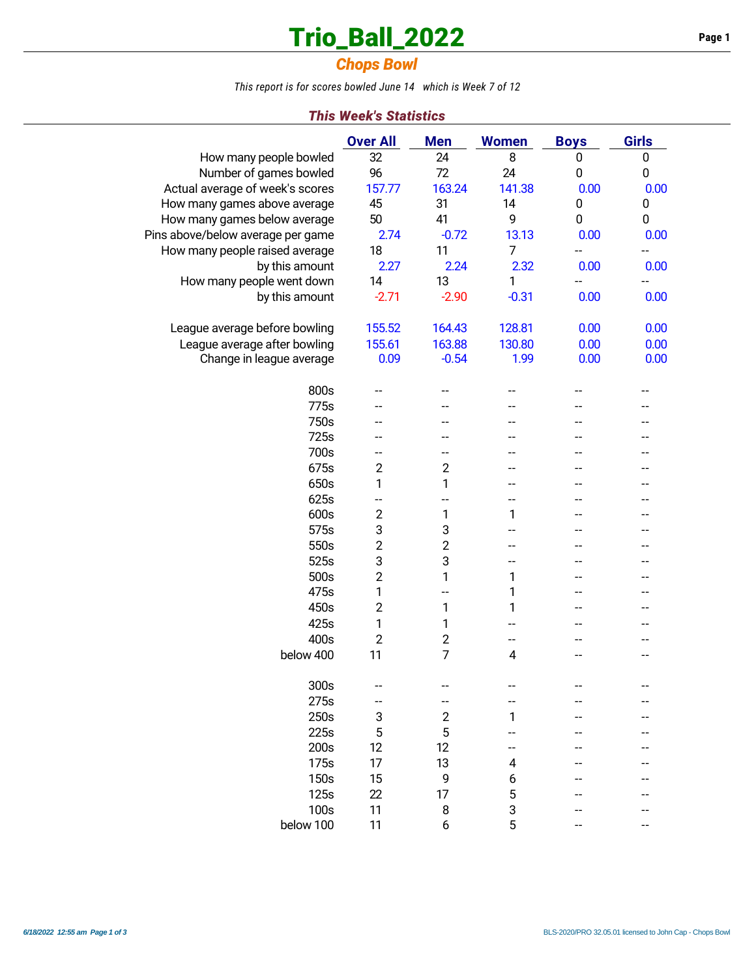# **Trio\_Ball\_2022 Page 1**

## *Chops Bowl*

*This report is for scores bowled June 14 which is Week 7 of 12*

### *This Week's Statistics*

|                                   | <b>Over All</b> | <b>Men</b>       | <b>Women</b>             | <b>Boys</b> | <b>Girls</b> |
|-----------------------------------|-----------------|------------------|--------------------------|-------------|--------------|
| How many people bowled            | 32              | 24               | 8                        | 0           | $\mathbf 0$  |
| Number of games bowled            | 96              | 72               | 24                       | 0           | 0            |
| Actual average of week's scores   | 157.77          | 163.24           | 141.38                   | 0.00        | 0.00         |
| How many games above average      | 45              | 31               | 14                       | 0           | 0            |
| How many games below average      | 50              | 41               | 9                        | 0           | 0            |
| Pins above/below average per game | 2.74            | $-0.72$          | 13.13                    | 0.00        | 0.00         |
| How many people raised average    | 18              | 11               | $\overline{7}$           | --          | --           |
| by this amount                    | 2.27            | 2.24             | 2.32                     | 0.00        | 0.00         |
| How many people went down         | 14              | 13               | 1                        |             |              |
| by this amount                    | $-2.71$         | $-2.90$          | $-0.31$                  | 0.00        | 0.00         |
|                                   |                 |                  |                          |             |              |
| League average before bowling     | 155.52          | 164.43           | 128.81                   | 0.00        | 0.00         |
| League average after bowling      | 155.61          | 163.88           | 130.80                   | 0.00        | 0.00         |
| Change in league average          | 0.09            | $-0.54$          | 1.99                     | 0.00        | 0.00         |
|                                   |                 |                  |                          |             |              |
| 800s                              |                 |                  |                          |             |              |
| 775s                              |                 |                  |                          |             |              |
| 750s                              |                 |                  |                          |             |              |
| 725s                              |                 |                  |                          |             |              |
| 700s                              | --              | --               | --                       | --          |              |
| 675s                              | $\overline{2}$  | $\overline{2}$   | --                       |             |              |
| 650s                              | 1               | 1                | --                       | --          |              |
| 625s                              | $-$             | $-$              | --                       |             |              |
| 600s                              | $\overline{2}$  | 1                | 1                        |             |              |
| 575s                              | 3               | 3                | --                       |             |              |
| 550s                              | $\overline{2}$  | $\overline{c}$   |                          |             |              |
| 525s                              | 3               | 3                | $-$                      |             |              |
| 500s                              | $\overline{2}$  | 1                | 1                        |             |              |
| 475s                              | 1               | --               | 1                        |             |              |
| 450s                              | $\overline{c}$  | 1                | 1                        | $-$         |              |
| 425s                              | 1               | 1                | $-$                      |             |              |
| 400s                              | $\overline{2}$  | $\overline{2}$   | $\overline{\phantom{a}}$ |             |              |
| below 400                         | 11              | $\overline{7}$   | 4                        |             |              |
|                                   |                 |                  |                          |             |              |
| 300s                              |                 |                  |                          |             |              |
| 275s                              |                 |                  |                          |             |              |
| 250s                              | 3               | $\boldsymbol{2}$ | 1                        |             |              |
| 225s                              | 5               | 5                |                          |             |              |
| 200s                              | 12              | 12               |                          |             |              |
| 175s                              | 17              | 13               | 4                        |             |              |
| 150s                              | 15              | 9                | 6                        |             |              |
| 125s                              | 22              | 17               | 5                        |             |              |
| 100s                              | 11              | 8                |                          |             |              |
| below 100                         | 11              |                  | 3<br>5                   |             |              |
|                                   |                 | 6                |                          |             |              |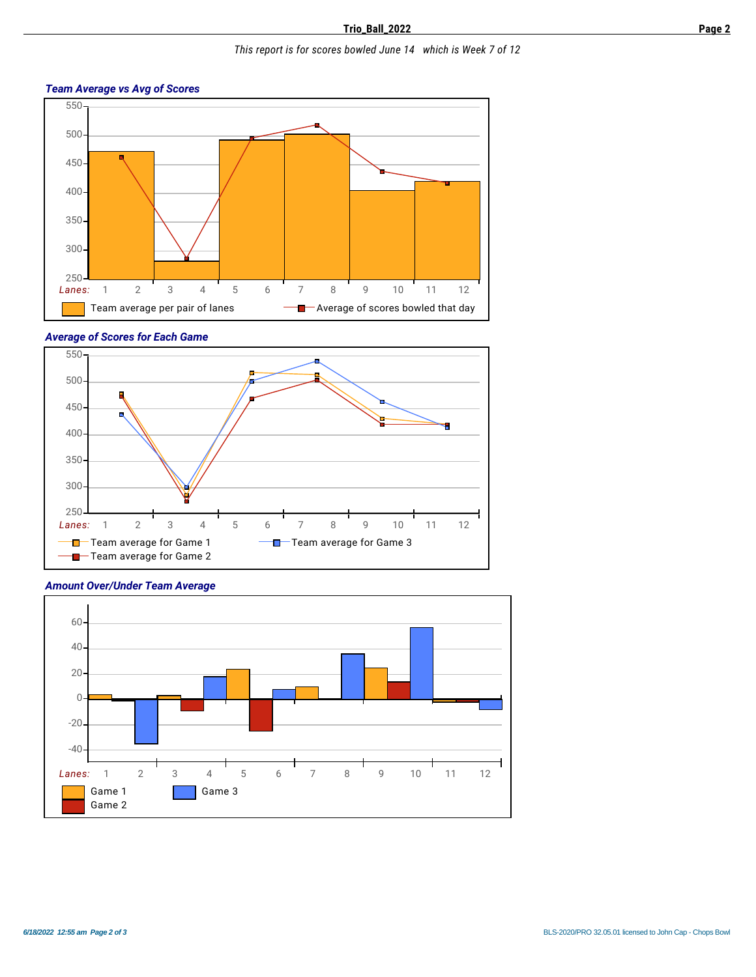#### *This report is for scores bowled June 14 which is Week 7 of 12*

#### *Team Average vs Avg of Scores*



#### *Average of Scores for Each Game*





*Amount Over/Under Team Average*